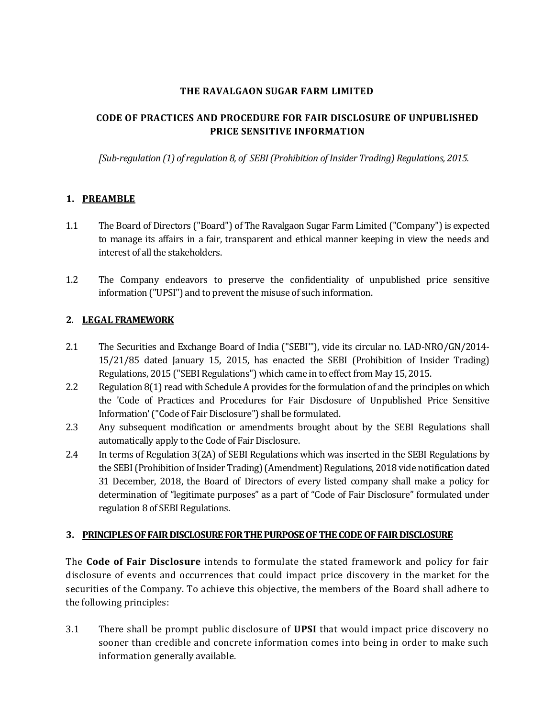## **THE RAVALGAON SUGAR FARM LIMITED**

# **CODE OF PRACTICES AND PROCEDURE FOR FAIR DISCLOSURE OF UNPUBLISHED PRICE SENSITIVE INFORMATION**

*[Sub-regulation (1) of regulation 8, of SEBI (Prohibition of Insider Trading) Regulations, 2015.*

# **1. PREAMBLE**

- 1.1 The Board of Directors ("Board") of The Ravalgaon Sugar Farm Limited ("Company") is expected to manage its affairs in a fair, transparent and ethical manner keeping in view the needs and interest of all the stakeholders.
- 1.2 The Company endeavors to preserve the confidentiality of unpublished price sensitive information ("UPSI") and to prevent the misuse of such information.

# **2. LEGAL FRAMEWORK**

- 2.1 The Securities and Exchange Board of India ("SEBI'"), vide its circular no. LAD-NRO/GN/2014- 15/21/85 dated January 15, 2015, has enacted the SEBI (Prohibition of Insider Trading) Regulations, 2015 ("SEBI Regulations") which came in to effect from May 15, 2015.
- 2.2 Regulation 8(1) read with Schedule A provides for the formulation of and the principles on which the 'Code of Practices and Procedures for Fair Disclosure of Unpublished Price Sensitive Information' ("Code of Fair Disclosure") shall be formulated.
- 2.3 Any subsequent modification or amendments brought about by the SEBI Regulations shall automatically apply to the Code of Fair Disclosure.
- 2.4 In terms of Regulation 3(2A) of SEBI Regulations which was inserted in the SEBI Regulations by the SEBI (Prohibition of Insider Trading) (Amendment) Regulations, 2018 vide notification dated 31 December, 2018, the Board of Directors of every listed company shall make a policy for determination of "legitimate purposes" as a part of "Code of Fair Disclosure" formulated under regulation 8 of SEBI Regulations.

## **3. PRINCIPLES OF FAIR DISCLOSURE FOR THE PURPOSE OF THE CODE OF FAIR DISCLOSURE**

The **Code of Fair Disclosure** intends to formulate the stated framework and policy for fair disclosure of events and occurrences that could impact price discovery in the market for the securities of the Company. To achieve this objective, the members of the Board shall adhere to the following principles:

3.1 There shall be prompt public disclosure of **UPSI** that would impact price discovery no sooner than credible and concrete information comes into being in order to make such information generally available.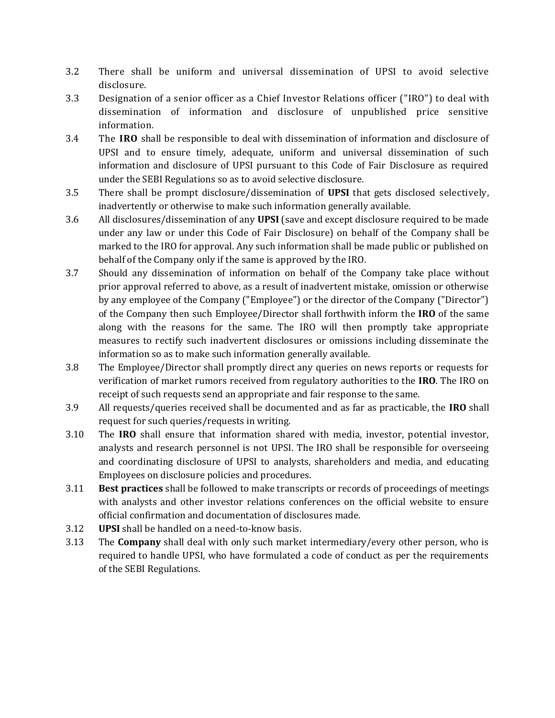- 3.2 There shall be uniform and universal dissemination of UPSI to avoid selective disclosure.
- 3.3 Designation of a senior officer as a Chief Investor Relations officer ("IRO") to deal with dissemination of information and disclosure of unpublished price sensitive information.
- 3.4 The **IRO** shall be responsible to deal with dissemination of information and disclosure of UPSI and to ensure timely, adequate, uniform and universal dissemination of such information and disclosure of UPSI pursuant to this Code of Fair Disclosure as required under the SEBI Regulations so as to avoid selective disclosure.
- 3.5 There shall be prompt disclosure/dissemination of **UPSI** that gets disclosed selectively, inadvertently or otherwise to make such information generally available.
- 3.6 All disclosures/dissemination of any **UPSI** (save and except disclosure required to be made under any law or under this Code of Fair Disclosure) on behalf of the Company shall be marked to the IRO for approval. Any such information shall be made public or published on behalf of the Company only if the same is approved by the IRO.
- 3.7 Should any dissemination of information on behalf of the Company take place without prior approval referred to above, as a result of inadvertent mistake, omission or otherwise by any employee of the Company ("Employee") or the director of the Company ("Director") of the Company then such Employee/Director shall forthwith inform the **IRO** of the same along with the reasons for the same. The IRO will then promptly take appropriate measures to rectify such inadvertent disclosures or omissions including disseminate the information so as to make such information generally available.
- 3.8 The Employee/Director shall promptly direct any queries on news reports or requests for verification of market rumors received from regulatory authorities to the **IRO**. The IRO on receipt of such requests send an appropriate and fair response to the same.
- 3.9 All requests/queries received shall be documented and as far as practicable, the **IRO** shall request for such queries/requests in writing.
- 3.10 The **IRO** shall ensure that information shared with media, investor, potential investor, analysts and research personnel is not UPSI. The IRO shall be responsible for overseeing and coordinating disclosure of UPSI to analysts, shareholders and media, and educating Employees on disclosure policies and procedures.
- 3.11 **Best practices** shall be followed to make transcripts or records of proceedings of meetings with analysts and other investor relations conferences on the official website to ensure official confirmation and documentation of disclosures made.
- 3.12 **UPSI** shall be handled on a need-to-know basis.
- 3.13 The **Company** shall deal with only such market intermediary/every other person, who is required to handle UPSI, who have formulated a code of conduct as per the requirements of the SEBI Regulations.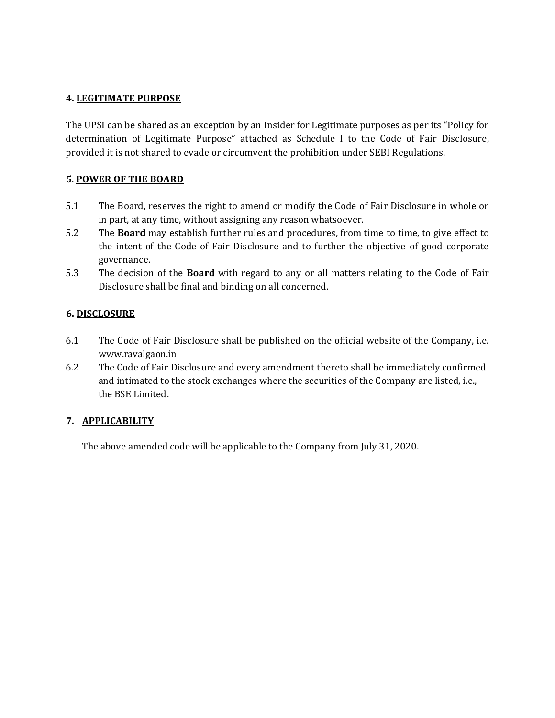# **4. LEGITIMATE PURPOSE**

The UPSI can be shared as an exception by an Insider for Legitimate purposes as per its "Policy for determination of Legitimate Purpose" attached as Schedule I to the Code of Fair Disclosure, provided it is not shared to evade or circumvent the prohibition under SEBI Regulations.

# **5**. **POWER OF THE BOARD**

- 5.1 The Board, reserves the right to amend or modify the Code of Fair Disclosure in whole or in part, at any time, without assigning any reason whatsoever.
- 5.2 The **Board** may establish further rules and procedures, from time to time, to give effect to the intent of the Code of Fair Disclosure and to further the objective of good corporate governance.
- 5.3 The decision of the **Board** with regard to any or all matters relating to the Code of Fair Disclosure shall be final and binding on all concerned.

## **6. DISCLOSURE**

- 6.1 The Code of Fair Disclosure shall be published on the official website of the Company, i.e. www.ravalgaon.in
- 6.2 The Code of Fair Disclosure and every amendment thereto shall be immediately confirmed and intimated to the stock exchanges where the securities of the Company are listed, i.e., the BSE Limited.

# **7. APPLICABILITY**

The above amended code will be applicable to the Company from July 31, 2020.